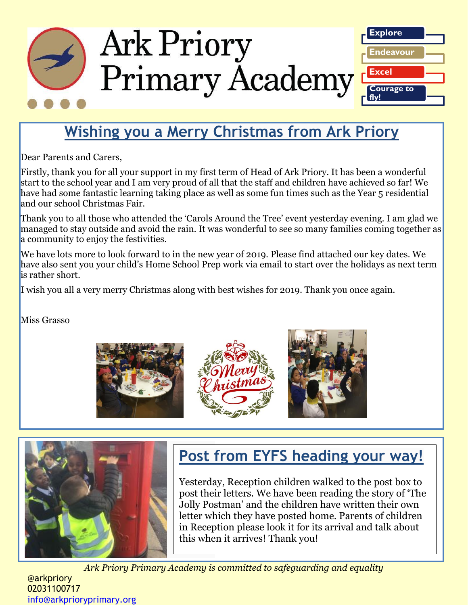

# **Wishing you a Merry Christmas from Ark Priory**

Dear Parents and Carers,

Firstly, thank you for all your support in my first term of Head of Ark Priory. It has been a wonderful start to the school year and I am very proud of all that the staff and children have achieved so far! We have had some fantastic learning taking place as well as some fun times such as the Year 5 residential and our school Christmas Fair.

Thank you to all those who attended the 'Carols Around the Tree' event yesterday evening. I am glad we managed to stay outside and avoid the rain. It was wonderful to see so many families coming together as a community to enjoy the festivities.

We have lots more to look forward to in the new year of 2019. Please find attached our key dates. We have also sent you your child's Home School Prep work via email to start over the holidays as next term is rather short.

I wish you all a very merry Christmas along with best wishes for 2019. Thank you once again.

Miss Grasso









# **Post from EYFS heading your way!**

Yesterday, Reception children walked to the post box to post their letters. We have been reading the story of 'The Jolly Postman' and the children have written their own letter which they have posted home. Parents of children in Reception please look it for its arrival and talk about this when it arrives! Thank you!

*Ark Priory Primary Academy is committed to safeguarding and equality* 

@arkpriory 02031100717 [info@arkprioryprimary.org](mailto:info@arkprioryprimary.org)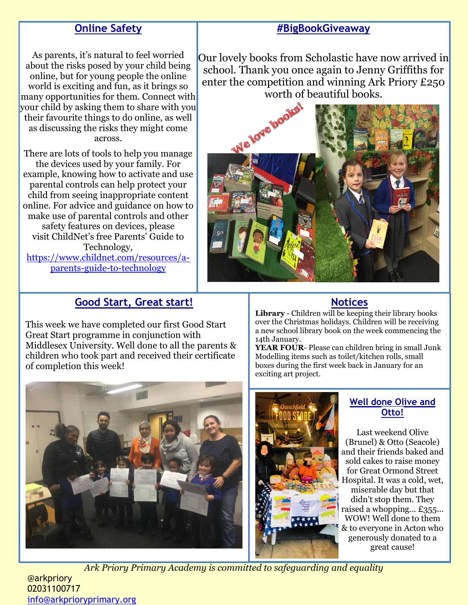# **Online Safety**

#### **#BigBookGiveaway**

As parents, it's natural to feel worried about the risks posed by your child being online, but for young people the online world is exciting and fun, as it brings so many opportunities for them. Connect with your child by asking them to share with you their favourite things to do online, as well as discussing the risks they might come across.

There are lots of tools to help you manage the devices used by your family. For example, knowing how to activate and use parental controls can help protect your child from seeing inappropriate content online. For advice and guidance on how to make use of parental controls and other safety features on devices, please visit ChildNet's free Parents' Guide to Technology, [https://www.childnet.com/resources/a](https://www.childnet.com/resources/a-parents-guide-to-technology)[parents-guide-to-technology](https://www.childnet.com/resources/a-parents-guide-to-technology)

Our lovely books from Scholastic have now arrived in school. Thank you once again to Jenny Griffiths for enter the competition and winning Ark Priory £250 worth of beautiful books.



# **Good Start, Great start!**

This week we have completed our first Good Start Great Start programme in conjunction with Middlesex University. Well done to all the parents & children who took part and received their certificate of completion this week!

#### **Notices**

**Library** - Children will be keeping their library books over the Christmas holidays. Children will be receiving a new school library book on the week commencing the 14th January.

**YEAR FOUR**- Please can children bring in small Junk Modelling items such as toilet/kitchen rolls, small boxes during the first week back in January for an exciting art project.





#### **Well done Olive and Otto!**

Last weekend Olive (Brunel) & Otto (Seacole) and their friends baked and sold cakes to raise money for Great Ormond Street Hospital. It was a cold, wet, miserable day but that didn't stop them. They raised a whopping... £355... WOW! Well done to them & to everyone in Acton who generously donated to a great cause!

*Ark Priory Primary Academy is committed to safeguarding and equality* 

@arkpriory 02031100717 [info@arkprioryprimary.org](mailto:info@arkprioryprimary.org)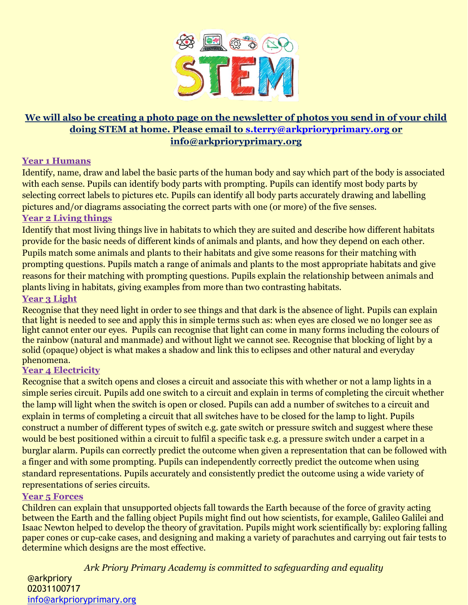

### **We will also be creating a photo page on the newsletter of photos you send in of your child doing STEM at home. Please email to [s.terry@arkprioryprimary.org](mailto:s.terry@arkprioryprimary.org) or info@arkprioryprimary.org**

#### **Year 1 Humans**

Identify, name, draw and label the basic parts of the human body and say which part of the body is associated with each sense. Pupils can identify body parts with prompting. Pupils can identify most body parts by selecting correct labels to pictures etc. Pupils can identify all body parts accurately drawing and labelling pictures and/or diagrams associating the correct parts with one (or more) of the five senses.

#### **Year 2 Living things**

Identify that most living things live in habitats to which they are suited and describe how different habitats provide for the basic needs of different kinds of animals and plants, and how they depend on each other. Pupils match some animals and plants to their habitats and give some reasons for their matching with prompting questions. Pupils match a range of animals and plants to the most appropriate habitats and give reasons for their matching with prompting questions. Pupils explain the relationship between animals and plants living in habitats, giving examples from more than two contrasting habitats.

#### **Year 3 Light**

Recognise that they need light in order to see things and that dark is the absence of light. Pupils can explain that light is needed to see and apply this in simple terms such as: when eyes are closed we no longer see as light cannot enter our eyes. Pupils can recognise that light can come in many forms including the colours of the rainbow (natural and manmade) and without light we cannot see. Recognise that blocking of light by a solid (opaque) object is what makes a shadow and link this to eclipses and other natural and everyday phenomena.

#### **Year 4 Electricity**

Recognise that a switch opens and closes a circuit and associate this with whether or not a lamp lights in a simple series circuit. Pupils add one switch to a circuit and explain in terms of completing the circuit whether the lamp will light when the switch is open or closed. Pupils can add a number of switches to a circuit and explain in terms of completing a circuit that all switches have to be closed for the lamp to light. Pupils construct a number of different types of switch e.g. gate switch or pressure switch and suggest where these would be best positioned within a circuit to fulfil a specific task e.g. a pressure switch under a carpet in a burglar alarm. Pupils can correctly predict the outcome when given a representation that can be followed with a finger and with some prompting. Pupils can independently correctly predict the outcome when using standard representations. Pupils accurately and consistently predict the outcome using a wide variety of representations of series circuits.

#### **Year 5 Forces**

Children can explain that unsupported objects fall towards the Earth because of the force of gravity acting between the Earth and the falling object Pupils might find out how scientists, for example, Galileo Galilei and Isaac Newton helped to develop the theory of gravitation. Pupils might work scientifically by: exploring falling paper cones or cup-cake cases, and designing and making a variety of parachutes and carrying out fair tests to determine which designs are the most effective.

*Ark Priory Primary Academy is committed to safeguarding and equality* 

@arkpriory 02031100717 [info@arkprioryprimary.org](mailto:info@arkprioryprimary.org)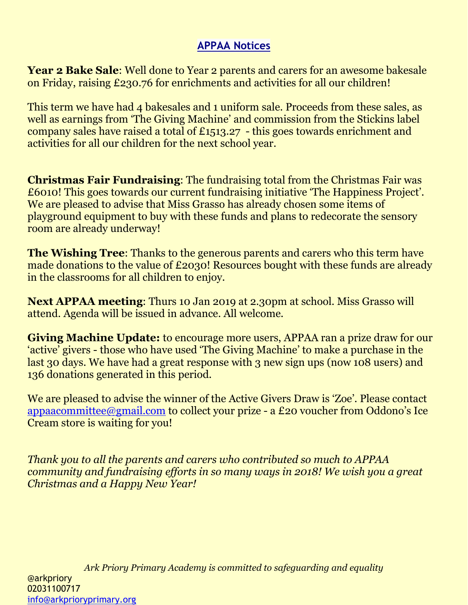# **APPAA Notices**

**Year 2 Bake Sale**: Well done to Year 2 parents and carers for an awesome bakesale on Friday, raising £230.76 for enrichments and activities for all our children!

This term we have had 4 bakesales and 1 uniform sale. Proceeds from these sales, as well as earnings from 'The Giving Machine' and commission from the Stickins label company sales have raised a total of £1513.27 - this goes towards enrichment and activities for all our children for the next school year.

**Christmas Fair Fundraising**: The fundraising total from the Christmas Fair was £6010! This goes towards our current fundraising initiative 'The Happiness Project'. We are pleased to advise that Miss Grasso has already chosen some items of playground equipment to buy with these funds and plans to redecorate the sensory room are already underway!

**The Wishing Tree**: Thanks to the generous parents and carers who this term have made donations to the value of £2030! Resources bought with these funds are already in the classrooms for all children to enjoy.

**Next APPAA meeting**: Thurs 10 Jan 2019 at 2.30pm at school. Miss Grasso will attend. Agenda will be issued in advance. All welcome.

**Giving Machine Update:** to encourage more users, APPAA ran a prize draw for our 'active' givers - those who have used 'The Giving Machine' to make a purchase in the last 30 days. We have had a great response with 3 new sign ups (now 108 users) and 136 donations generated in this period.

We are pleased to advise the winner of the Active Givers Draw is 'Zoe'. Please contact [appaacommittee@gmail.com](mailto:appaacommittee@gmail.com) to collect your prize - a £20 voucher from Oddono's Ice Cream store is waiting for you!

*Thank you to all the parents and carers who contributed so much to APPAA community and fundraising efforts in so many ways in 2018! We wish you a great Christmas and a Happy New Year!*